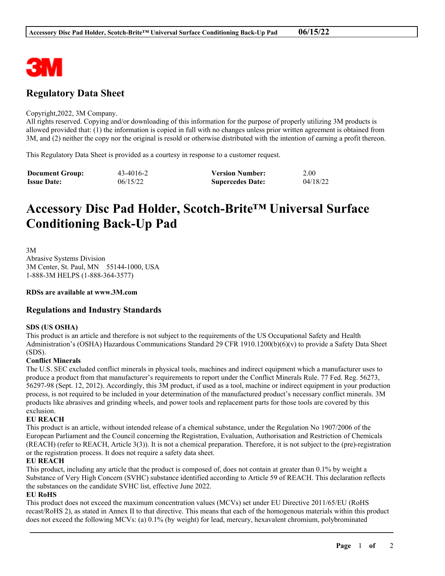

## **Regulatory Data Sheet**

#### Copyright,2022, 3M Company.

All rights reserved. Copying and/or downloading of this information for the purpose of properly utilizing 3M products is allowed provided that: (1) the information is copied in full with no changes unless prior written agreement is obtained from 3M, and (2) neither the copy nor the original is resold or otherwise distributed with the intention of earning a profit thereon.

This Regulatory Data Sheet is provided as a courtesy in response to a customer request.

| <b>Document Group:</b> | 43-4016-2 | <b>Version Number:</b>  | 2.00     |
|------------------------|-----------|-------------------------|----------|
| <b>Issue Date:</b>     | 06/15/22  | <b>Supercedes Date:</b> | 04/18/22 |

# **Accessory Disc Pad Holder, Scotch-Brite™ Universal Surface Conditioning Back-Up Pad**

3M Abrasive Systems Division 3M Center, St. Paul, MN 55144-1000, USA 1-888-3M HELPS (1-888-364-3577)

#### **RDSs are available at www.3M.com**

#### **Regulations and Industry Standards**

#### **SDS (US OSHA)**

This product is an article and therefore is not subject to the requirements of the US Occupational Safety and Health Administration's (OSHA) Hazardous Communications Standard 29 CFR 1910.1200(b)(6)(v) to provide a Safety Data Sheet (SDS).

#### **Conflict Minerals**

The U.S. SEC excluded conflict minerals in physical tools, machines and indirect equipment which a manufacturer uses to produce a product from that manufacturer's requirements to report under the Conflict Minerals Rule. 77 Fed. Reg. 56273, 56297-98 (Sept. 12, 2012). Accordingly, this 3M product, if used as a tool, machine or indirect equipment in your production process, is not required to be included in your determination of the manufactured product's necessary conflict minerals. 3M products like abrasives and grinding wheels, and power tools and replacement parts for those tools are covered by this exclusion.

#### **EU REACH**

This product is an article, without intended release of a chemical substance, under the Regulation No 1907/2006 of the European Parliament and the Council concerning the Registration, Evaluation, Authorisation and Restriction of Chemicals (REACH) (refer to REACH, Article 3(3)). It is not a chemical preparation. Therefore, it is not subject to the (pre)-registration or the registration process. It does not require a safety data sheet.

#### **EU REACH**

This product, including any article that the product is composed of, does not contain at greater than 0.1% by weight a Substance of Very High Concern (SVHC) substance identified according to Article 59 of REACH. This declaration reflects the substances on the candidate SVHC list, effective June 2022.

#### **EU RoHS**

This product does not exceed the maximum concentration values (MCVs) set under EU Directive 2011/65/EU (RoHS recast/RoHS 2), as stated in Annex II to that directive. This means that each of the homogenous materials within this product does not exceed the following MCVs: (a) 0.1% (by weight) for lead, mercury, hexavalent chromium, polybrominated

\_\_\_\_\_\_\_\_\_\_\_\_\_\_\_\_\_\_\_\_\_\_\_\_\_\_\_\_\_\_\_\_\_\_\_\_\_\_\_\_\_\_\_\_\_\_\_\_\_\_\_\_\_\_\_\_\_\_\_\_\_\_\_\_\_\_\_\_\_\_\_\_\_\_\_\_\_\_\_\_\_\_\_\_\_\_\_\_\_\_